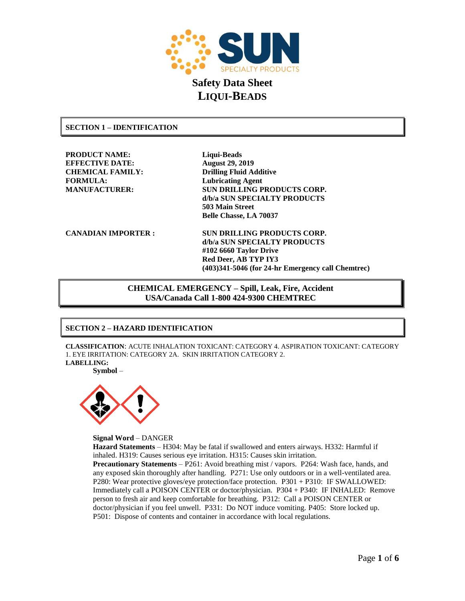

### **SECTION 1 – IDENTIFICATION**

**PRODUCT NAME: Liqui-Beads EFFECTIVE DATE: August 29, 2019 CHEMICAL FAMILY: Drilling Fluid Additive FORMULA: Lubricating Agent**

**MANUFACTURER: SUN DRILLING PRODUCTS CORP. d/b/a SUN SPECIALTY PRODUCTS 503 Main Street Belle Chasse, LA 70037**

**CANADIAN IMPORTER : SUN DRILLING PRODUCTS CORP. d/b/a SUN SPECIALTY PRODUCTS #102 6660 Taylor Drive Red Deer, AB TYP IY3 (403)341-5046 (for 24-hr Emergency call Chemtrec)**

> **CHEMICAL EMERGENCY – Spill, Leak, Fire, Accident USA/Canada Call 1-800 424-9300 CHEMTREC**

## **SECTION 2 – HAZARD IDENTIFICATION**

**CLASSIFICATION**: ACUTE INHALATION TOXICANT: CATEGORY 4. ASPIRATION TOXICANT: CATEGORY 1. EYE IRRITATION: CATEGORY 2A. SKIN IRRITATION CATEGORY 2. **LABELLING:**

**Symbol** –



**Signal Word** – DANGER

**Hazard Statements** – H304: May be fatal if swallowed and enters airways. H332: Harmful if inhaled. H319: Causes serious eye irritation. H315: Causes skin irritation. **Precautionary Statements** – P261: Avoid breathing mist / vapors. P264: Wash face, hands, and any exposed skin thoroughly after handling. P271: Use only outdoors or in a well-ventilated area. P280: Wear protective gloves/eye protection/face protection. P301 + P310: IF SWALLOWED: Immediately call a POISON CENTER or doctor/physician. P304 + P340: IF INHALED: Remove person to fresh air and keep comfortable for breathing. P312: Call a POISON CENTER or doctor/physician if you feel unwell. P331: Do NOT induce vomiting. P405: Store locked up. P501: Dispose of contents and container in accordance with local regulations.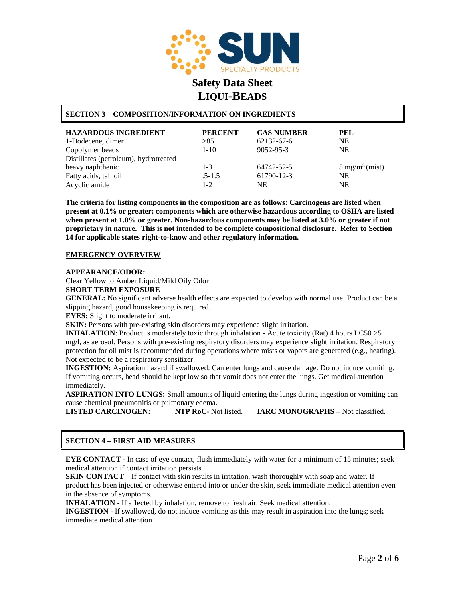

## **SECTION 3 – COMPOSITION/INFORMATION ON INGREDIENTS**

| <b>HAZARDOUS INGREDIENT</b><br>1-Dodecene, dimer | <b>PERCENT</b><br>>85 | <b>CAS NUMBER</b><br>62132-67-6 | PEL<br><b>NE</b>                  |
|--------------------------------------------------|-----------------------|---------------------------------|-----------------------------------|
| Copolymer beads                                  | $1 - 10$              | 9052-95-3                       | <b>NE</b>                         |
| Distillates (petroleum), hydrotreated            |                       |                                 |                                   |
| heavy naphthenic                                 | $1 - 3$               | 64742-52-5                      | $5 \text{ mg/m}^3 \text{ (mist)}$ |
| Fatty acids, tall oil                            | $.5 - 1.5$            | 61790-12-3                      | <b>NE</b>                         |
| Acyclic amide                                    | $1-2$                 | NE                              | <b>NE</b>                         |

**The criteria for listing components in the composition are as follows: Carcinogens are listed when present at 0.1% or greater; components which are otherwise hazardous according to OSHA are listed when present at 1.0% or greater. Non-hazardous components may be listed at 3.0% or greater if not proprietary in nature. This is not intended to be complete compositional disclosure. Refer to Section 14 for applicable states right-to-know and other regulatory information.**

### **EMERGENCY OVERVIEW**

#### **APPEARANCE/ODOR:**

Clear Yellow to Amber Liquid/Mild Oily Odor

### **SHORT TERM EXPOSURE**

**GENERAL:** No significant adverse health effects are expected to develop with normal use. Product can be a slipping hazard, good housekeeping is required.

**EYES:** Slight to moderate irritant.

**SKIN:** Persons with pre-existing skin disorders may experience slight irritation.

**INHALATION**: Product is moderately toxic through inhalation - Acute toxicity (Rat) 4 hours LC50 >5 mg/l, as aerosol. Persons with pre-existing respiratory disorders may experience slight irritation. Respiratory protection for oil mist is recommended during operations where mists or vapors are generated (e.g., heating). Not expected to be a respiratory sensitizer.

**INGESTION:** Aspiration hazard if swallowed. Can enter lungs and cause damage. Do not induce vomiting. If vomiting occurs, head should be kept low so that vomit does not enter the lungs. Get medical attention immediately.

**ASPIRATION INTO LUNGS:** Small amounts of liquid entering the lungs during ingestion or vomiting can cause chemical pneumonitis or pulmonary edema.

**LISTED CARCINOGEN: NTP RoC-** Not listed. **IARC MONOGRAPHS –** Not classified.

## **SECTION 4 – FIRST AID MEASURES**

**EYE CONTACT -** In case of eye contact, flush immediately with Water for a minimum of 15 minutes; seek medical attention if contact irritation persists.

**SKIN CONTACT** – If contact with skin results in irritation, wash thoroughly with soap and water. If product has been injected or otherwise entered into or under the skin, seek immediate medical attention even in the absence of symptoms.

**INHALATION** - If affected by inhalation, remove to fresh air. Seek medical attention.

**INGESTION** - If swallowed, do not induce vomiting as this may result in aspiration into the lungs; seek immediate medical attention.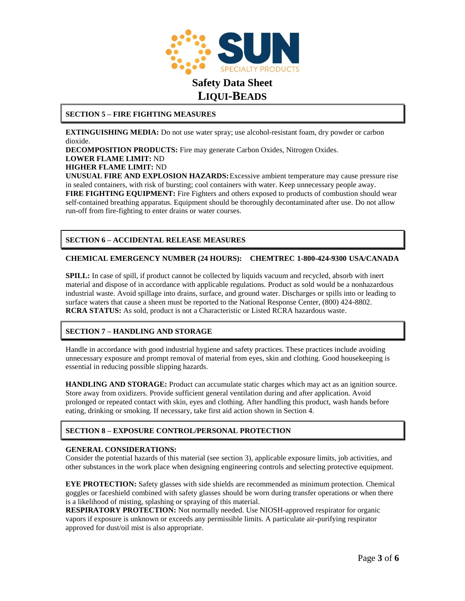

### **SECTION 5 – FIRE FIGHTING MEASURES**

**EXTINGUISHING MEDIA:** Do not use water spray; use alcohol-resistant foam, dry powder or carbon dioxide.

**DECOMPOSITION PRODUCTS:** Fire may generate Carbon Oxides, Nitrogen Oxides.

**LOWER FLAME LIMIT:** ND

### **HIGHER FLAME LIMIT:** ND

**UNUSUAL FIRE AND EXPLOSION HAZARDS:**Excessive ambient temperature may cause pressure rise in sealed containers, with risk of bursting; cool containers with water. Keep unnecessary people away. **FIRE FIGHTING EQUIPMENT:** Fire Fighters and others exposed to products of combustion should wear self-contained breathing apparatus. Equipment should be thoroughly decontaminated after use. Do not allow run-off from fire-fighting to enter drains or water courses.

## **SECTION 6 – ACCIDENTAL RELEASE MEASURES**

### **CHEMICAL EMERGENCY NUMBER (24 HOURS): CHEMTREC 1-800-424-9300 USA/CANADA**

**SPILL:** In case of spill, if product cannot be collected by liquids vacuum and recycled, absorb with inert material and dispose of in accordance with applicable regulations. Product as sold would be a nonhazardous industrial waste. Avoid spillage into drains, surface, and ground water. Discharges or spills into or leading to surface waters that cause a sheen must be reported to the National Response Center, (800) 424-8802. **RCRA STATUS:** As sold, product is not a Characteristic or Listed RCRA hazardous waste.

### **SECTION 7 – HANDLING AND STORAGE**

Handle in accordance with good industrial hygiene and safety practices. These practices include avoiding unnecessary exposure and prompt removal of material from eyes, skin and clothing. Good housekeeping is essential in reducing possible slipping hazards.

**HANDLING AND STORAGE:** Product can accumulate static charges which may act as an ignition source. Store away from oxidizers. Provide sufficient general ventilation during and after application. Avoid prolonged or repeated contact with skin, eyes and clothing. After handling this product, wash hands before eating, drinking or smoking. If necessary, take first aid action shown in Section 4.

### **SECTION 8 – EXPOSURE CONTROL/PERSONAL PROTECTION**

### **GENERAL CONSIDERATIONS:**

Consider the potential hazards of this material (see section 3), applicable exposure limits, job activities, and other substances in the work place when designing engineering controls and selecting protective equipment.

**EYE PROTECTION:** Safety glasses with side shields are recommended as minimum protection. Chemical goggles or faceshield combined with safety glasses should be worn during transfer operations or when there is a likelihood of misting, splashing or spraying of this material.

**RESPIRATORY PROTECTION:** Not normally needed. Use NIOSH-approved respirator for organic vapors if exposure is unknown or exceeds any permissible limits. A particulate air-purifying respirator approved for dust/oil mist is also appropriate.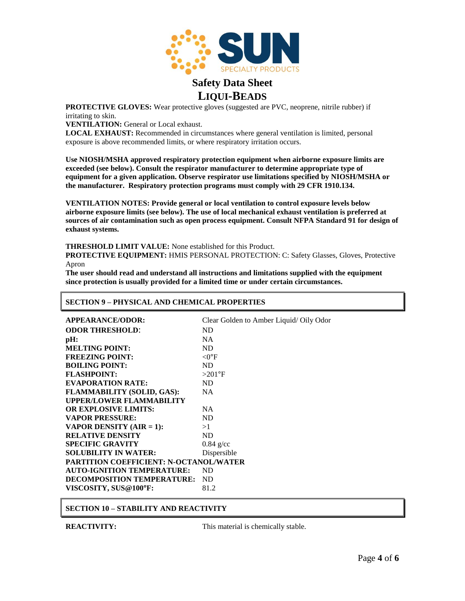

**PROTECTIVE GLOVES:** Wear protective gloves (suggested are PVC, neoprene, nitrile rubber) if irritating to skin.

**VENTILATION:** General or Local exhaust.

**LOCAL EXHAUST:** Recommended in circumstances where general ventilation is limited, personal exposure is above recommended limits, or where respiratory irritation occurs.

**Use NIOSH/MSHA approved respiratory protection equipment when airborne exposure limits are exceeded (see below). Consult the respirator manufacturer to determine appropriate type of equipment for a given application. Observe respirator use limitations specified by NIOSH/MSHA or the manufacturer. Respiratory protection programs must comply with 29 CFR 1910.134.**

**VENTILATION NOTES: Provide general or local ventilation to control exposure levels below airborne exposure limits (see below). The use of local mechanical exhaust ventilation is preferred at sources of air contamination such as open process equipment. Consult NFPA Standard 91 for design of exhaust systems.**

**THRESHOLD LIMIT VALUE:** None established for this Product.

**PROTECTIVE EQUIPMENT:** HMIS PERSONAL PROTECTION: C: Safety Glasses, Gloves, Protective Apron

**The user should read and understand all instructions and limitations supplied with the equipment since protection is usually provided for a limited time or under certain circumstances.**

### **SECTION 9 – PHYSICAL AND CHEMICAL PROPERTIES**

|                                               | <b>APPEARANCE/ODOR:</b>           | Clear Golden to Amber Liquid/ Oily Odor |  |
|-----------------------------------------------|-----------------------------------|-----------------------------------------|--|
|                                               | <b>ODOR THRESHOLD:</b>            | ND.                                     |  |
|                                               | pH:                               | <b>NA</b>                               |  |
|                                               | <b>MELTING POINT:</b>             | <b>ND</b>                               |  |
|                                               | <b>FREEZING POINT:</b>            | $<$ O°F                                 |  |
|                                               | <b>BOILING POINT:</b>             | <b>ND</b>                               |  |
|                                               | <b>FLASHPOINT:</b>                | $>201$ °F                               |  |
|                                               | <b>EVAPORATION RATE:</b>          | <b>ND</b>                               |  |
|                                               | <b>FLAMMABILITY (SOLID, GAS):</b> | <b>NA</b>                               |  |
|                                               | <b>UPPER/LOWER FLAMMABILITY</b>   |                                         |  |
|                                               | <b>OR EXPLOSIVE LIMITS:</b>       | NA.                                     |  |
|                                               | <b>VAPOR PRESSURE:</b>            | ND.                                     |  |
|                                               | <b>VAPOR DENSITY (AIR = 1):</b>   | >1                                      |  |
|                                               | <b>RELATIVE DENSITY</b>           | ND.                                     |  |
|                                               | <b>SPECIFIC GRAVITY</b>           | $0.84$ g/cc                             |  |
|                                               | <b>SOLUBILITY IN WATER:</b>       | Dispersible                             |  |
| <b>PARTITION COEFFICIENT: N-OCTANOL/WATER</b> |                                   |                                         |  |
|                                               | <b>AUTO-IGNITION TEMPERATURE:</b> | <b>ND</b>                               |  |
|                                               | DECOMPOSITION TEMPERATURE:        | ND.                                     |  |
|                                               | VISCOSITY, SUS@100°F:             | 81.2                                    |  |
|                                               |                                   |                                         |  |

**SECTION 10 – STABILITY AND REACTIVITY**

**REACTIVITY:** This material is chemically stable.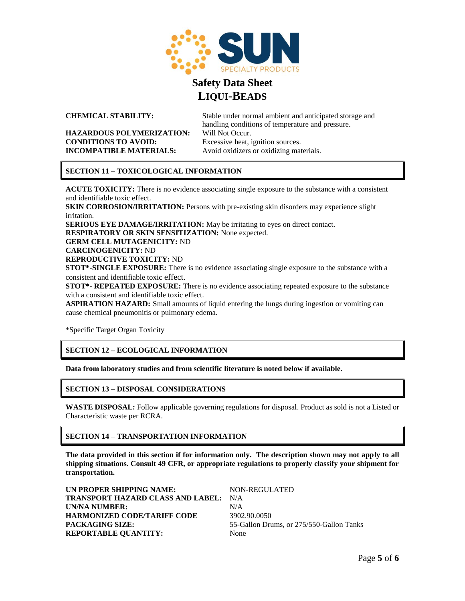

**CHEMICAL STABILITY:** Stable under normal ambient and anticipated storage and handling conditions of temperature and pressure.

### **HAZARDOUS POLYMERIZATION:** Will Not Occur. **CONDITIONS TO AVOID:** Excessive heat, ignition sources. **INCOMPATIBLE MATERIALS:** Avoid oxidizers or oxidizing materials.

## **SECTION 11 – TOXICOLOGICAL INFORMATION**

**ACUTE TOXICITY:** There is no evidence associating single exposure to the substance with a consistent and identifiable toxic effect.

**SKIN CORROSION/IRRITATION:** Persons with pre-existing skin disorders may experience slight irritation.

**SERIOUS EYE DAMAGE/IRRITATION:** May be irritating to eyes on direct contact.

**RESPIRATORY OR SKIN SENSITIZATION:** None expected.

**GERM CELL MUTAGENICITY:** ND

**CARCINOGENICITY:** ND

**REPRODUCTIVE TOXICITY:** ND

**STOT\*-SINGLE EXPOSURE:** There is no evidence associating single exposure to the substance with a consistent and identifiable toxic effect.

**STOT\*- REPEATED EXPOSURE:** There is no evidence associating repeated exposure to the substance with a consistent and identifiable toxic effect.

**ASPIRATION HAZARD:** Small amounts of liquid entering the lungs during ingestion or vomiting can cause chemical pneumonitis or pulmonary edema.

\*Specific Target Organ Toxicity

## **SECTION 12 – ECOLOGICAL INFORMATION**

**Data from laboratory studies and from scientific literature is noted below if available.**

## **SECTION 13 – DISPOSAL CONSIDERATIONS**

**WASTE DISPOSAL:** Follow applicable governing regulations for disposal. Product as sold is not a Listed or Characteristic waste per RCRA.

## **SECTION 14 – TRANSPORTATION INFORMATION**

**The data provided in this section if for information only. The description shown may not apply to all shipping situations. Consult 49 CFR, or appropriate regulations to properly classify your shipment for transportation.**

| UN PROPER SHIPPING NAME:                     | NON-REGULATED                            |
|----------------------------------------------|------------------------------------------|
| <b>TRANSPORT HAZARD CLASS AND LABEL: N/A</b> |                                          |
| UN/NA NUMBER:                                | N/A                                      |
| <b>HARMONIZED CODE/TARIFF CODE</b>           | 3902.90.0050                             |
| PACKAGING SIZE:                              | 55-Gallon Drums, or 275/550-Gallon Tanks |
| <b>REPORTABLE OUANTITY:</b>                  | None                                     |